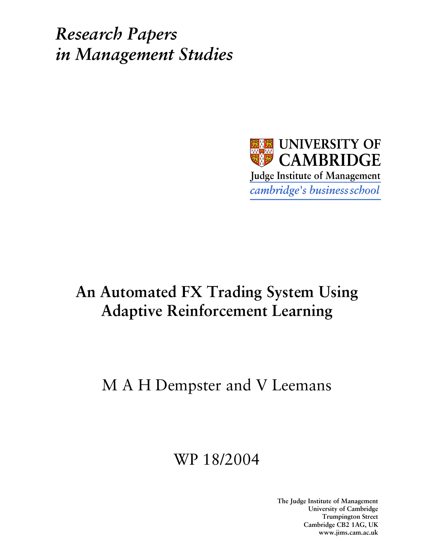**Research Papers** in Management Studies



# An Automated FX Trading System Using **Adaptive Reinforcement Learning**

# M A H Dempster and V Leemans

# WP 18/2004

The Judge Institute of Management University of Cambridge **Trumpington Street** Cambridge CB2 1AG, UK www.jims.cam.ac.uk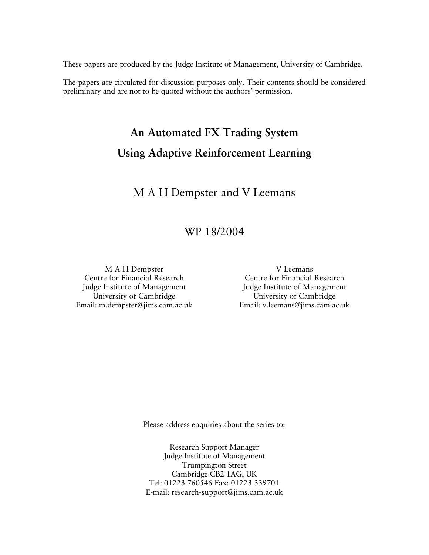These papers are produced by the Judge Institute of Management, University of Cambridge.

The papers are circulated for discussion purposes only. Their contents should be considered preliminary and are not to be quoted without the authors' permission.

# An Automated FX Trading System **Using Adaptive Reinforcement Learning**

## M A H Dempster and V Leemans

## WP 18/2004

M A H Dempster Centre for Financial Research Judge Institute of Management University of Cambridge Email: m.dempster@jims.cam.ac.uk

V Leemans Centre for Financial Research Judge Institute of Management University of Cambridge Email: v.leemans@jims.cam.ac.uk

Please address enquiries about the series to:

Research Support Manager Judge Institute of Management **Trumpington Street** Cambridge CB2 1AG, UK Tel: 01223 760546 Fax: 01223 339701 E-mail: research-support@jims.cam.ac.uk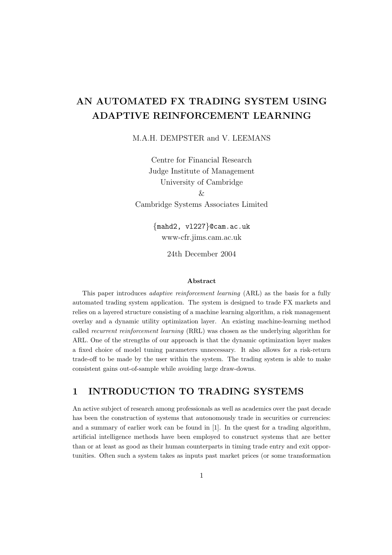## AN AUTOMATED FX TRADING SYSTEM USING ADAPTIVE REINFORCEMENT LEARNING

M.A.H. DEMPSTER and V. LEEMANS

Centre for Financial Research Judge Institute of Management University of Cambridge  $\&$ Cambridge Systems Associates Limited

> {mahd2, vl227}@cam.ac.uk www-cfr.jims.cam.ac.uk

> > 24th December 2004

#### Abstract

This paper introduces *adaptive reinforcement learning* (ARL) as the basis for a fully automated trading system application. The system is designed to trade FX markets and relies on a layered structure consisting of a machine learning algorithm, a risk management overlay and a dynamic utility optimization layer. An existing machine-learning method called recurrent reinforcement learning (RRL) was chosen as the underlying algorithm for ARL. One of the strengths of our approach is that the dynamic optimization layer makes a fixed choice of model tuning parameters unnecessary. It also allows for a risk-return trade-off to be made by the user within the system. The trading system is able to make consistent gains out-of-sample while avoiding large draw-downs.

### 1 INTRODUCTION TO TRADING SYSTEMS

An active subject of research among professionals as well as academics over the past decade has been the construction of systems that autonomously trade in securities or currencies: and a summary of earlier work can be found in [1]. In the quest for a trading algorithm, artificial intelligence methods have been employed to construct systems that are better than or at least as good as their human counterparts in timing trade entry and exit opportunities. Often such a system takes as inputs past market prices (or some transformation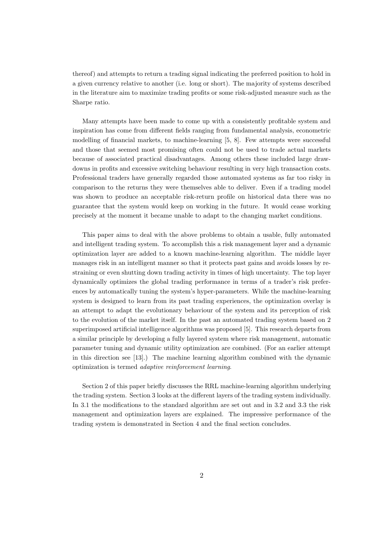thereof) and attempts to return a trading signal indicating the preferred position to hold in a given currency relative to another (i.e. long or short). The majority of systems described in the literature aim to maximize trading profits or some risk-adjusted measure such as the Sharpe ratio.

Many attempts have been made to come up with a consistently profitable system and inspiration has come from different fields ranging from fundamental analysis, econometric modelling of financial markets, to machine-learning [5, 8]. Few attempts were successful and those that seemed most promising often could not be used to trade actual markets because of associated practical disadvantages. Among others these included large drawdowns in profits and excessive switching behaviour resulting in very high transaction costs. Professional traders have generally regarded those automated systems as far too risky in comparison to the returns they were themselves able to deliver. Even if a trading model was shown to produce an acceptable risk-return profile on historical data there was no guarantee that the system would keep on working in the future. It would cease working precisely at the moment it became unable to adapt to the changing market conditions.

This paper aims to deal with the above problems to obtain a usable, fully automated and intelligent trading system. To accomplish this a risk management layer and a dynamic optimization layer are added to a known machine-learning algorithm. The middle layer manages risk in an intelligent manner so that it protects past gains and avoids losses by restraining or even shutting down trading activity in times of high uncertainty. The top layer dynamically optimizes the global trading performance in terms of a trader's risk preferences by automatically tuning the system's hyper-parameters. While the machine-learning system is designed to learn from its past trading experiences, the optimization overlay is an attempt to adapt the evolutionary behaviour of the system and its perception of risk to the evolution of the market itself. In the past an automated trading system based on 2 superimposed artificial intelligence algorithms was proposed [5]. This research departs from a similar principle by developing a fully layered system where risk management, automatic parameter tuning and dynamic utility optimization are combined. (For an earlier attempt in this direction see [13].) The machine learning algorithm combined with the dynamic optimization is termed adaptive reinforcement learning.

Section 2 of this paper briefly discusses the RRL machine-learning algorithm underlying the trading system. Section 3 looks at the different layers of the trading system individually. In 3.1 the modifications to the standard algorithm are set out and in 3.2 and 3.3 the risk management and optimization layers are explained. The impressive performance of the trading system is demonstrated in Section 4 and the final section concludes.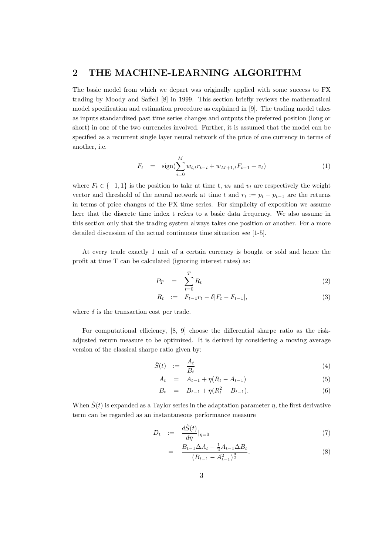#### 2 THE MACHINE-LEARNING ALGORITHM

The basic model from which we depart was originally applied with some success to FX trading by Moody and Saffell [8] in 1999. This section briefly reviews the mathematical model specification and estimation procedure as explained in [9]. The trading model takes as inputs standardized past time series changes and outputs the preferred position (long or short) in one of the two currencies involved. Further, it is assumed that the model can be specified as a recurrent single layer neural network of the price of one currency in terms of another, i.e.

$$
F_t = \text{sign}(\sum_{i=0}^{M} w_{i,t} r_{t-i} + w_{M+1,t} F_{t-1} + v_t)
$$
\n(1)

where  $F_t \in \{-1,1\}$  is the position to take at time t,  $w_t$  and  $v_t$  are respectively the weight vector and threshold of the neural network at time t and  $r_t := p_t - p_{t-1}$  are the returns in terms of price changes of the FX time series. For simplicity of exposition we assume here that the discrete time index t refers to a basic data frequency. We also assume in this section only that the trading system always takes one position or another. For a more detailed discussion of the actual continuous time situation see [1-5].

At every trade exactly 1 unit of a certain currency is bought or sold and hence the profit at time T can be calculated (ignoring interest rates) as:

$$
P_T = \sum_{t=0}^{T} R_t \tag{2}
$$

$$
R_t := F_{t-1}r_t - \delta|F_t - F_{t-1}|,
$$
\n(3)

where  $\delta$  is the transaction cost per trade.

For computational efficiency, [8, 9] choose the differential sharpe ratio as the riskadjusted return measure to be optimized. It is derived by considering a moving average version of the classical sharpe ratio given by:

$$
\hat{S}(t) \quad := \quad \frac{A_t}{B_t} \tag{4}
$$

$$
A_t = A_{t-1} + \eta (R_t - A_{t-1}) \tag{5}
$$

$$
B_t = B_{t-1} + \eta (R_t^2 - B_{t-1}). \tag{6}
$$

When  $\hat{S}(t)$  is expanded as a Taylor series in the adaptation parameter  $\eta$ , the first derivative term can be regarded as an instantaneous performance measure

$$
D_t \quad := \quad \frac{d\hat{S}(t)}{d\eta}|_{\eta=0} \tag{7}
$$

$$
= \frac{B_{t-1}\Delta A_t - \frac{1}{2}A_{t-1}\Delta B_t}{(B_{t-1} - A_{t-1}^2)^{\frac{3}{2}}}.
$$
\n(8)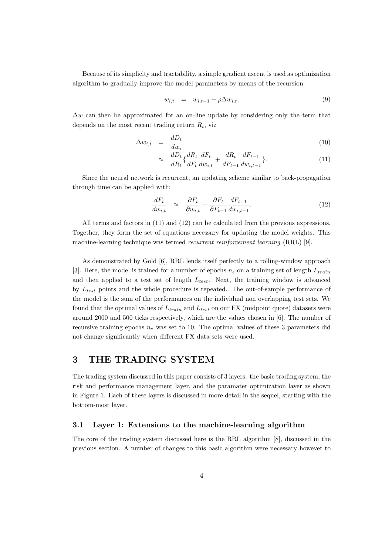Because of its simplicity and tractability, a simple gradient ascent is used as optimization algorithm to gradually improve the model parameters by means of the recursion:

$$
w_{i,t} = w_{i,t-1} + \rho \Delta w_{i,t}.
$$
\n
$$
(9)
$$

 $\Delta w$  can then be approximated for an on-line update by considering only the term that depends on the most recent trading return  $R_t$ , viz

$$
\Delta w_{i,t} = \frac{dD_t}{dw_i} \tag{10}
$$

$$
\approx \frac{d_{t}}{d_{t}} \left\{ \frac{d_{t}}{d_{t}} \frac{d_{t}}{d_{t}} \frac{d_{t}}{d_{t}} + \frac{d_{t}}{d_{t-1}} \frac{d_{t-1}}{d_{t-1}} \right\}.
$$
\n(11)

Since the neural network is recurrent, an updating scheme similar to back-propagation through time can be applied with:

$$
\frac{dF_t}{dw_{i,t}} \approx \frac{\partial F_t}{\partial w_{i,t}} + \frac{\partial F_t}{\partial F_{t-1}} \frac{dF_{t-1}}{dw_{i,t-1}}.
$$
\n(12)

All terms and factors in (11) and (12) can be calculated from the previous expressions. Together, they form the set of equations necessary for updating the model weights. This machine-learning technique was termed *recurrent reinforcement learning* (RRL) [9].

As demonstrated by Gold [6], RRL lends itself perfectly to a rolling-window approach [3]. Here, the model is trained for a number of epochs  $n_e$  on a training set of length  $L_{train}$ and then applied to a test set of length  $L_{test}$ . Next, the training window is advanced by  $L_{test}$  points and the whole procedure is repeated. The out-of-sample performance of the model is the sum of the performances on the individual non overlapping test sets. We found that the optimal values of  $L_{train}$  and  $L_{test}$  on our FX (midpoint quote) datasets were around 2000 and 500 ticks respectively, which are the values chosen in [6]. The number of recursive training epochs  $n_e$  was set to 10. The optimal values of these 3 parameters did not change significantly when different FX data sets were used.

### 3 THE TRADING SYSTEM

The trading system discussed in this paper consists of 3 layers: the basic trading system, the risk and performance management layer, and the paramater optimization layer as shown in Figure 1. Each of these layers is discussed in more detail in the sequel, starting with the bottom-most layer.

#### 3.1 Layer 1: Extensions to the machine-learning algorithm

The core of the trading system discussed here is the RRL algorithm [8], discussed in the previous section. A number of changes to this basic algorithm were necessary however to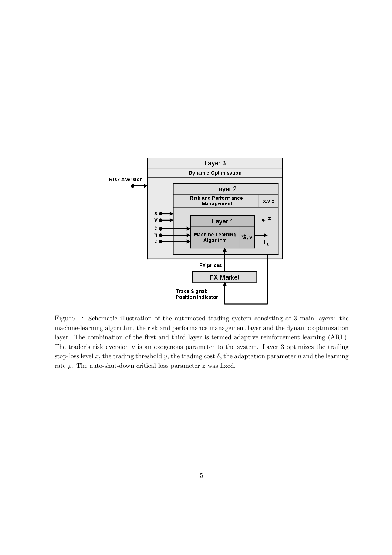

Figure 1: Schematic illustration of the automated trading system consisting of 3 main layers: the machine-learning algorithm, the risk and performance management layer and the dynamic optimization layer. The combination of the first and third layer is termed adaptive reinforcement learning (ARL). The trader's risk aversion  $\nu$  is an exogenous parameter to the system. Layer 3 optimizes the trailing stop-loss level x, the trading threshold y, the trading cost  $\delta$ , the adaptation parameter  $\eta$  and the learning rate  $\rho$ . The auto-shut-down critical loss parameter z was fixed.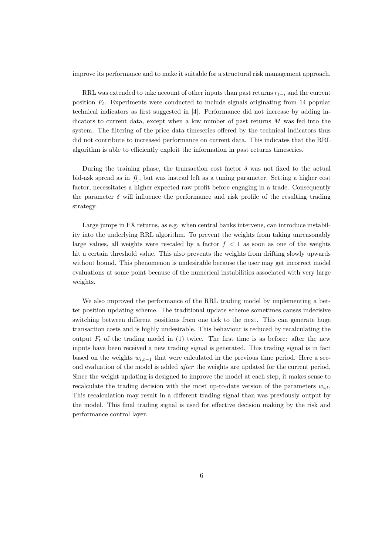improve its performance and to make it suitable for a structural risk management approach.

RRL was extended to take account of other inputs than past returns  $r_{t-i}$  and the current position  $F_t$ . Experiments were conducted to include signals originating from 14 popular technical indicators as first suggested in [4]. Performance did not increase by adding indicators to current data, except when a low number of past returns M was fed into the system. The filtering of the price data timeseries offered by the technical indicators thus did not contribute to increased performance on current data. This indicates that the RRL algorithm is able to efficiently exploit the information in past returns timeseries.

During the training phase, the transaction cost factor  $\delta$  was not fixed to the actual bid-ask spread as in [6], but was instead left as a tuning parameter. Setting a higher cost factor, necessitates a higher expected raw profit before engaging in a trade. Consequently the parameter  $\delta$  will influence the performance and risk profile of the resulting trading strategy.

Large jumps in FX returns, as e.g. when central banks intervene, can introduce instability into the underlying RRL algorithm. To prevent the weights from taking unreasonably large values, all weights were rescaled by a factor  $f < 1$  as soon as one of the weights hit a certain threshold value. This also prevents the weights from drifting slowly upwards without bound. This phenomenon is undesirable because the user may get incorrect model evaluations at some point because of the numerical instabilities associated with very large weights.

We also improved the performance of the RRL trading model by implementing a better position updating scheme. The traditional update scheme sometimes causes indecisive switching between different positions from one tick to the next. This can generate huge transaction costs and is highly undesirable. This behaviour is reduced by recalculating the output  $F_t$  of the trading model in (1) twice. The first time is as before: after the new inputs have been received a new trading signal is generated. This trading signal is in fact based on the weights  $w_{i,t-1}$  that were calculated in the previous time period. Here a second evaluation of the model is added after the weights are updated for the current period. Since the weight updating is designed to improve the model at each step, it makes sense to recalculate the trading decision with the most up-to-date version of the parameters  $w_{i,t}$ . This recalculation may result in a different trading signal than was previously output by the model. This final trading signal is used for effective decision making by the risk and performance control layer.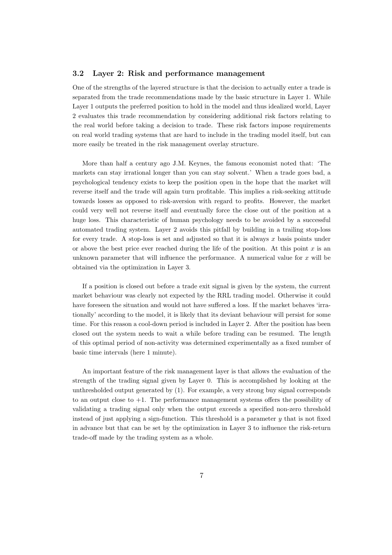#### 3.2 Layer 2: Risk and performance management

One of the strengths of the layered structure is that the decision to actually enter a trade is separated from the trade recommendations made by the basic structure in Layer 1. While Layer 1 outputs the preferred position to hold in the model and thus idealized world, Layer 2 evaluates this trade recommendation by considering additional risk factors relating to the real world before taking a decision to trade. These risk factors impose requirements on real world trading systems that are hard to include in the trading model itself, but can more easily be treated in the risk management overlay structure.

More than half a century ago J.M. Keynes, the famous economist noted that: 'The markets can stay irrational longer than you can stay solvent.' When a trade goes bad, a psychological tendency exists to keep the position open in the hope that the market will reverse itself and the trade will again turn profitable. This implies a risk-seeking attitude towards losses as opposed to risk-aversion with regard to profits. However, the market could very well not reverse itself and eventually force the close out of the position at a huge loss. This characteristic of human psychology needs to be avoided by a successful automated trading system. Layer 2 avoids this pitfall by building in a trailing stop-loss for every trade. A stop-loss is set and adjusted so that it is always  $x$  basis points under or above the best price ever reached during the life of the position. At this point  $x$  is an unknown parameter that will influence the performance. A numerical value for  $x$  will be obtained via the optimization in Layer 3.

If a position is closed out before a trade exit signal is given by the system, the current market behaviour was clearly not expected by the RRL trading model. Otherwise it could have foreseen the situation and would not have suffered a loss. If the market behaves 'irrationally' according to the model, it is likely that its deviant behaviour will persist for some time. For this reason a cool-down period is included in Layer 2. After the position has been closed out the system needs to wait a while before trading can be resumed. The length of this optimal period of non-activity was determined experimentally as a fixed number of basic time intervals (here 1 minute).

An important feature of the risk management layer is that allows the evaluation of the strength of the trading signal given by Layer 0. This is accomplished by looking at the unthresholded output generated by (1). For example, a very strong buy signal corresponds to an output close to  $+1$ . The performance management systems offers the possibility of validating a trading signal only when the output exceeds a specified non-zero threshold instead of just applying a sign-function. This threshold is a parameter  $y$  that is not fixed in advance but that can be set by the optimization in Layer 3 to influence the risk-return trade-off made by the trading system as a whole.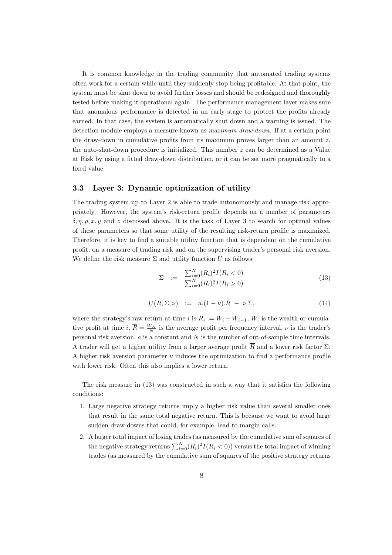It is common knowledge in the trading community that automated trading systems often work for a certain while until they suddenly stop being profitable. At that point, the system must be shut down to avoid further losses and should be redesigned and thoroughly tested before making it operational again. The performance management layer makes sure that anomalous performance is detected in an early stage to protect the profits already earned. In that case, the system is automatically shut down and a warning is issued. The detection module employs a measure known as maximum draw-down. If at a certain point the draw-down in cumulative profits from its maximum proves larger than an amount  $z$ , the auto-shut-down procedure is initialized. This number  $z$  can be determined as a Value at Risk by using a fitted draw-down distribution, or it can be set more pragmatically to a fixed value.

#### 3.3 Layer 3: Dynamic optimization of utility

The trading system up to Layer 2 is able to trade autonomously and manage risk appropriately. However, the system's risk-return profile depends on a number of parameters  $\delta$ ,  $\eta$ ,  $\rho$ ,  $x$ ,  $y$  and  $z$  discussed above. It is the task of Layer 3 to search for optimal values of these parameters so that some utility of the resulting risk-return profile is maximized. Therefore, it is key to find a suitable utility function that is dependent on the cumulative profit, on a measure of trading risk and on the supervising trader's personal risk aversion. We define the risk measure  $\Sigma$  and utility function U as follows:

$$
\Sigma \quad := \quad \frac{\sum_{i=0}^{N} (R_i)^2 I(R_i < 0)}{\sum_{i=0}^{N} (R_i)^2 I(R_i > 0)}\tag{13}
$$

$$
U(\overline{R}, \Sigma, \nu) := a.(1 - \nu).\overline{R} - \nu.\Sigma,
$$
\n(14)

where the strategy's raw return at time i is  $R_i := W_i - W_{i-1}$ ,  $W_i$  is the wealth or cumulative profit at time i,  $\overline{R} = \frac{W_N}{N}$  is the average profit per frequency interval,  $\nu$  is the trader's personal risk aversion,  $a$  is a constant and  $N$  is the number of out-of-sample time intervals. A trader will get a higher utility from a larger average profit  $\overline{R}$  and a lower risk factor  $\Sigma$ . A higher risk aversion parameter  $\nu$  induces the optimization to find a performance profile with lower risk. Often this also implies a lower return.

The risk measure in (13) was constructed in such a way that it satisfies the following conditions:

- 1. Large negative strategy returns imply a higher risk value than several smaller ones that result in the same total negative return. This is because we want to avoid large sudden draw-downs that could, for example, lead to margin calls.
- 2. A larger total impact of losing trades (as measured by the cumulative sum of squares of the negative strategy returns  $\sum_{i=0}^{N} (R_i)^2 I(R_i < 0)$ ) versus the total impact of winning trades (as measured by the cumulative sum of squares of the positive strategy returns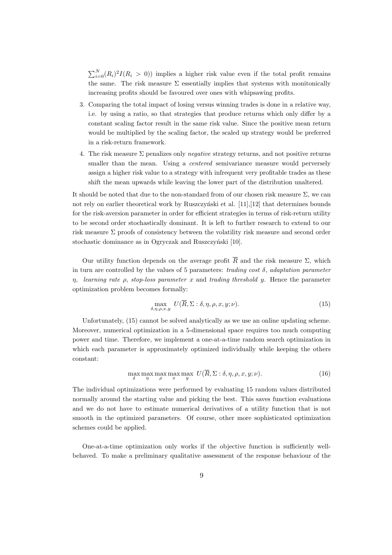$\sum_{i=0}^{N} (R_i)^2 I(R_i > 0)$  implies a higher risk value even if the total profit remains the same. The risk measure  $\Sigma$  essentially implies that systems with monitonically increasing profits should be favoured over ones with whipsawing profits.

- 3. Comparing the total impact of losing versus winning trades is done in a relative way, i.e. by using a ratio, so that strategies that produce returns which only differ by a constant scaling factor result in the same risk value. Since the positive mean return would be multiplied by the scaling factor, the scaled up strategy would be preferred in a risk-return framework.
- 4. The risk measure  $\Sigma$  penalizes only *negative* strategy returns, and not positive returns smaller than the mean. Using a *centered* semivariance measure would perversely assign a higher risk value to a strategy with infrequent very profitable trades as these shift the mean upwards while leaving the lower part of the distribution unaltered.

It should be noted that due to the non-standard from of our chosen risk measure  $\Sigma$ , we can not rely on earlier theoretical work by Ruszczyński et al. [11],[12] that determines bounds for the risk-aversion parameter in order for efficient strategies in terms of risk-return utility to be second order stochastically dominant. It is left to further research to extend to our risk measure  $\Sigma$  proofs of consistency between the volatility risk measure and second order stochastic dominance as in Ogryczak and Ruszczyński [10].

Our utility function depends on the average profit  $\overline{R}$  and the risk measure Σ, which in turn are controlled by the values of 5 parameters: trading cost  $\delta$ , adaptation parameter η, learning rate ρ, stop-loss parameter x and trading threshold y. Hence the parameter optimization problem becomes formally:

$$
\max_{\delta,\eta,\rho,x,y} U(\overline{R},\Sigma:\delta,\eta,\rho,x,y;\nu).
$$
\n(15)

Unfortunately, (15) cannot be solved analytically as we use an online updating scheme. Moreover, numerical optimization in a 5-dimensional space requires too much computing power and time. Therefore, we implement a one-at-a-time random search optimization in which each parameter is approximately optimized individually while keeping the others constant:

$$
\max_{\delta} \max_{\eta} \max_{\rho} \max_{x} \max_{y} U(\overline{R}, \Sigma : \delta, \eta, \rho, x, y; \nu).
$$
 (16)

The individual optimizations were performed by evaluating 15 random values distributed normally around the starting value and picking the best. This saves function evaluations and we do not have to estimate numerical derivatives of a utility function that is not smooth in the optimized parameters. Of course, other more sophisticated optimization schemes could be applied.

One-at-a-time optimization only works if the objective function is sufficiently wellbehaved. To make a preliminary qualitative assessment of the response behaviour of the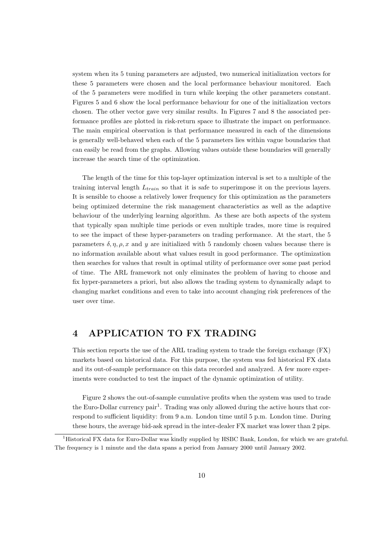system when its 5 tuning parameters are adjusted, two numerical initialization vectors for these 5 parameters were chosen and the local performance behaviour monitored. Each of the 5 parameters were modified in turn while keeping the other parameters constant. Figures 5 and 6 show the local performance behaviour for one of the initialization vectors chosen. The other vector gave very similar results. In Figures 7 and 8 the associated performance profiles are plotted in risk-return space to illustrate the impact on performance. The main empirical observation is that performance measured in each of the dimensions is generally well-behaved when each of the 5 parameters lies within vague boundaries that can easily be read from the graphs. Allowing values outside these boundaries will generally increase the search time of the optimization.

The length of the time for this top-layer optimization interval is set to a multiple of the training interval length  $L_{train}$  so that it is safe to superimpose it on the previous layers. It is sensible to choose a relatively lower frequency for this optimization as the parameters being optimized determine the risk management characteristics as well as the adaptive behaviour of the underlying learning algorithm. As these are both aspects of the system that typically span multiple time periods or even multiple trades, more time is required to see the impact of these hyper-parameters on trading performance. At the start, the 5 parameters  $\delta$ ,  $\eta$ ,  $\rho$ ,  $x$  and  $y$  are initialized with 5 randomly chosen values because there is no information available about what values result in good performance. The optimization then searches for values that result in optimal utility of performance over some past period of time. The ARL framework not only eliminates the problem of having to choose and fix hyper-parameters a priori, but also allows the trading system to dynamically adapt to changing market conditions and even to take into account changing risk preferences of the user over time.

### 4 APPLICATION TO FX TRADING

This section reports the use of the ARL trading system to trade the foreign exchange (FX) markets based on historical data. For this purpose, the system was fed historical FX data and its out-of-sample performance on this data recorded and analyzed. A few more experiments were conducted to test the impact of the dynamic optimization of utility.

Figure 2 shows the out-of-sample cumulative profits when the system was used to trade the Euro-Dollar currency pair<sup>1</sup>. Trading was only allowed during the active hours that correspond to sufficient liquidity: from 9 a.m. London time until 5 p.m. London time. During these hours, the average bid-ask spread in the inter-dealer FX market was lower than 2 pips.

<sup>1</sup>Historical FX data for Euro-Dollar was kindly supplied by HSBC Bank, London, for which we are grateful. The frequency is 1 minute and the data spans a period from January 2000 until January 2002.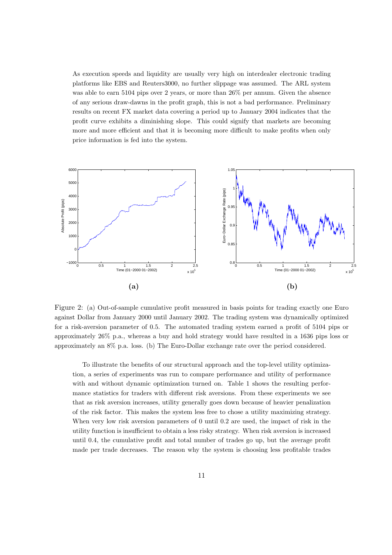As execution speeds and liquidity are usually very high on interdealer electronic trading platforms like EBS and Reuters3000, no further slippage was assumed. The ARL system was able to earn 5104 pips over 2 years, or more than 26% per annum. Given the absence of any serious draw-dawns in the profit graph, this is not a bad performance. Preliminary results on recent FX market data covering a period up to January 2004 indicates that the profit curve exhibits a diminishing slope. This could signify that markets are becoming more and more efficient and that it is becoming more difficult to make profits when only price information is fed into the system.



Figure 2: (a) Out-of-sample cumulative profit measured in basis points for trading exactly one Euro against Dollar from January 2000 until January 2002. The trading system was dynamically optimized for a risk-aversion parameter of 0.5. The automated trading system earned a profit of 5104 pips or approximately 26% p.a., whereas a buy and hold strategy would have resulted in a 1636 pips loss or approximately an 8% p.a. loss. (b) The Euro-Dollar exchange rate over the period considered.

To illustrate the benefits of our structural approach and the top-level utility optimization, a series of experiments was run to compare performance and utility of performance with and without dynamic optimization turned on. Table 1 shows the resulting performance statistics for traders with different risk aversions. From these experiments we see that as risk aversion increases, utility generally goes down because of heavier penalization of the risk factor. This makes the system less free to chose a utility maximizing strategy. When very low risk aversion parameters of 0 until 0.2 are used, the impact of risk in the utility function is insufficient to obtain a less risky strategy. When risk aversion is increased until 0.4, the cumulative profit and total number of trades go up, but the average profit made per trade decreases. The reason why the system is choosing less profitable trades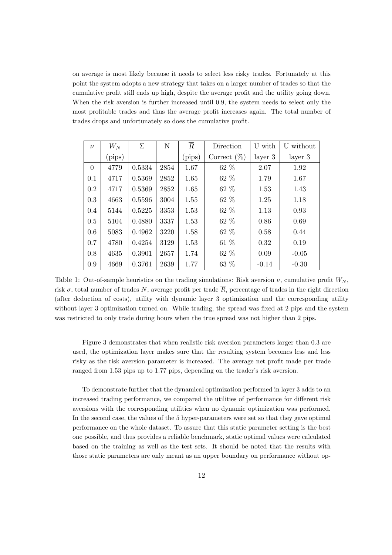on average is most likely because it needs to select less risky trades. Fortunately at this point the system adopts a new strategy that takes on a larger number of trades so that the cumulative profit still ends up high, despite the average profit and the utility going down. When the risk aversion is further increased until 0.9, the system needs to select only the most profitable trades and thus the average profit increases again. The total number of trades drops and unfortunately so does the cumulative profit.

| $\nu$    | $W_N$  | Σ      | N    | $\overline{R}$ | Direction      | U with  | U without |
|----------|--------|--------|------|----------------|----------------|---------|-----------|
|          | (pips) |        |      | (pips)         | Correct $(\%)$ | layer 3 | layer 3   |
| $\theta$ | 4779   | 0.5334 | 2854 | 1.67           | 62 %           | 2.07    | 1.92      |
| 0.1      | 4717   | 0.5369 | 2852 | 1.65           | 62 %           | 1.79    | 1.67      |
| 0.2      | 4717   | 0.5369 | 2852 | 1.65           | 62 %           | 1.53    | 1.43      |
| 0.3      | 4663   | 0.5596 | 3004 | 1.55           | 62 %           | 1.25    | 1.18      |
| 0.4      | 5144   | 0.5225 | 3353 | 1.53           | 62 %           | 1.13    | 0.93      |
| 0.5      | 5104   | 0.4880 | 3337 | 1.53           | 62 %           | 0.86    | 0.69      |
| 0.6      | 5083   | 0.4962 | 3220 | 1.58           | 62 %           | 0.58    | 0.44      |
| 0.7      | 4780   | 0.4254 | 3129 | 1.53           | 61 %           | 0.32    | 0.19      |
| 0.8      | 4635   | 0.3901 | 2657 | 1.74           | 62 %           | 0.09    | $-0.05$   |
| 0.9      | 4669   | 0.3761 | 2639 | 1.77           | 63 %           | $-0.14$ | $-0.30$   |

Table 1: Out-of-sample heuristics on the trading simulations: Risk aversion  $\nu$ , cumulative profit  $W_N$ , risk  $\sigma$ , total number of trades N, average profit per trade  $\overline{R}$ , percentage of trades in the right direction (after deduction of costs), utility with dynamic layer 3 optimization and the corresponding utility without layer 3 optimization turned on. While trading, the spread was fixed at 2 pips and the system was restricted to only trade during hours when the true spread was not higher than 2 pips.

Figure 3 demonstrates that when realistic risk aversion parameters larger than 0.3 are used, the optimization layer makes sure that the resulting system becomes less and less risky as the risk aversion parameter is increased. The average net profit made per trade ranged from 1.53 pips up to 1.77 pips, depending on the trader's risk aversion.

To demonstrate further that the dynamical optimization performed in layer 3 adds to an increased trading performance, we compared the utilities of performance for different risk aversions with the corresponding utilities when no dynamic optimization was performed. In the second case, the values of the 5 hyper-parameters were set so that they gave optimal performance on the whole dataset. To assure that this static parameter setting is the best one possible, and thus provides a reliable benchmark, static optimal values were calculated based on the training as well as the test sets. It should be noted that the results with those static parameters are only meant as an upper boundary on performance without op-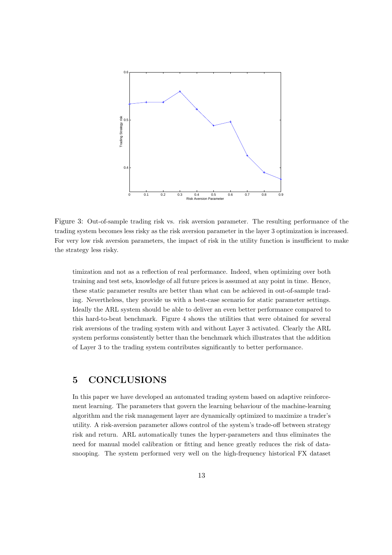

Figure 3: Out-of-sample trading risk vs. risk aversion parameter. The resulting performance of the trading system becomes less risky as the risk aversion parameter in the layer 3 optimization is increased. For very low risk aversion parameters, the impact of risk in the utility function is insufficient to make the strategy less risky.

timization and not as a reflection of real performance. Indeed, when optimizing over both training and test sets, knowledge of all future prices is assumed at any point in time. Hence, these static parameter results are better than what can be achieved in out-of-sample trading. Nevertheless, they provide us with a best-case scenario for static parameter settings. Ideally the ARL system should be able to deliver an even better performance compared to this hard-to-beat benchmark. Figure 4 shows the utilities that were obtained for several risk aversions of the trading system with and without Layer 3 activated. Clearly the ARL system performs consistently better than the benchmark which illustrates that the addition of Layer 3 to the trading system contributes significantly to better performance.

### 5 CONCLUSIONS

In this paper we have developed an automated trading system based on adaptive reinforcement learning. The parameters that govern the learning behaviour of the machine-learning algorithm and the risk management layer are dynamically optimized to maximize a trader's utility. A risk-aversion parameter allows control of the system's trade-off between strategy risk and return. ARL automatically tunes the hyper-parameters and thus eliminates the need for manual model calibration or fitting and hence greatly reduces the risk of datasnooping. The system performed very well on the high-frequency historical FX dataset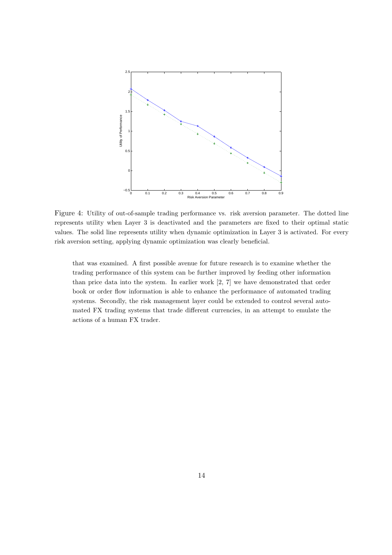

Figure 4: Utility of out-of-sample trading performance vs. risk aversion parameter. The dotted line represents utility when Layer 3 is deactivated and the parameters are fixed to their optimal static values. The solid line represents utility when dynamic optimization in Layer 3 is activated. For every risk aversion setting, applying dynamic optimization was clearly beneficial.

that was examined. A first possible avenue for future research is to examine whether the trading performance of this system can be further improved by feeding other information than price data into the system. In earlier work [2, 7] we have demonstrated that order book or order flow information is able to enhance the performance of automated trading systems. Secondly, the risk management layer could be extended to control several automated FX trading systems that trade different currencies, in an attempt to emulate the actions of a human FX trader.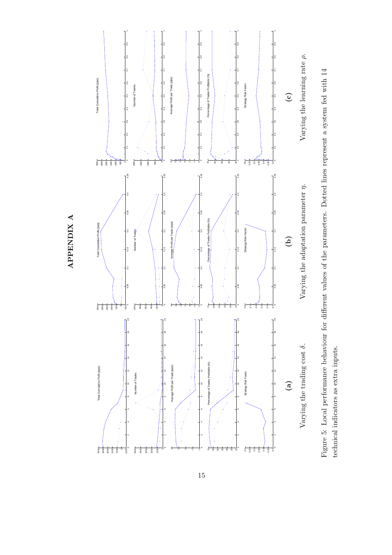

APPENDIX A



2 ន ន 40 ន -ន  $\epsilon$ 

 $\mathbb{S}^ \frac{4}{0.35}$ 0.45 0.5 0.55

−2 −4420

−10000

3000 2000 1000<sub>0</sub>

5000<br>4000<br>30000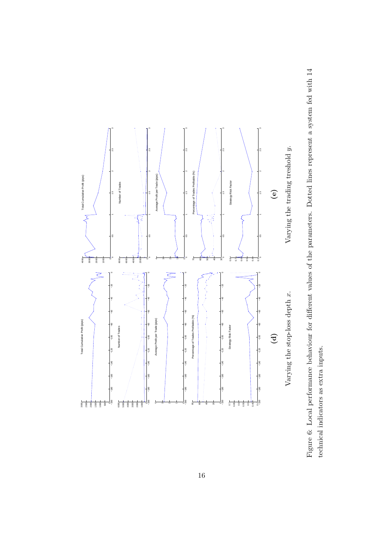

Figure 6: Local performance behaviour for different values of the parameters. Dotted lines represent a system fed with 14 Figure 6: Local performance behaviour for different values of the parameters. Dotted lines represent a system fed with 14 technical indicators as extra inputs. technical indicators as extra inputs.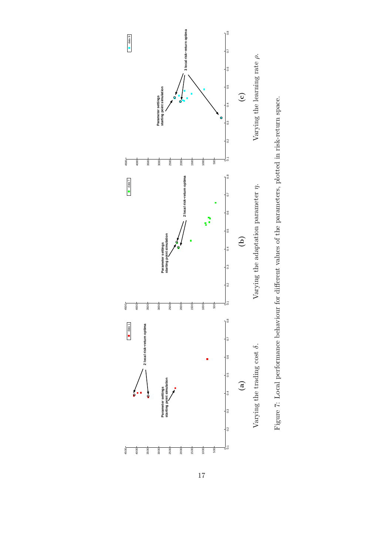

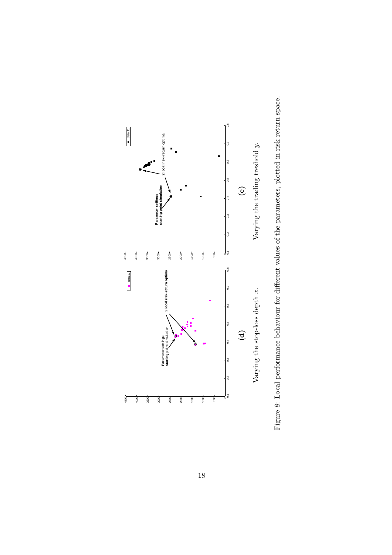

Figure 8: Local performance behaviour for different values of the parameters, plotted in risk-return space. Figure 8: Local performance behaviour for different values of the parameters, plotted in risk-return space.